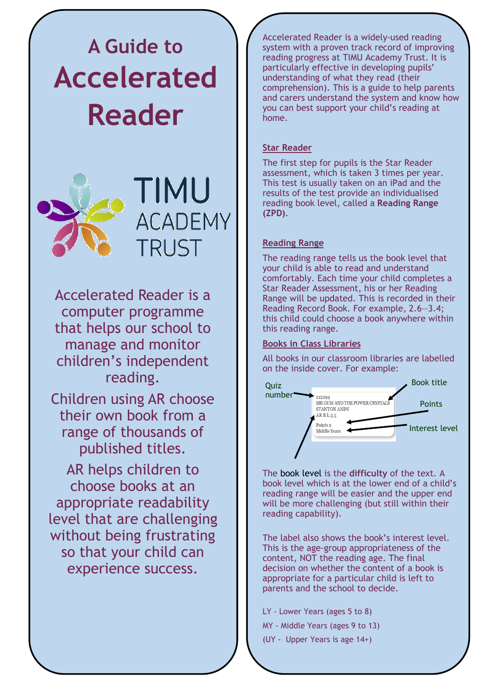# **A Guide to Accelerated Reader**





Accelerated Reader is a computer programme that helps our school to manage and monitor children's independent reading.

Children using AR choose their own book from a range of thousands of published titles.

AR helps children to choose books at an appropriate readability level that are challenging without being frustrating so that your child can experience success.

Accelerated Reader is a widely-used reading system with a proven track record of improving reading progress at TIMU Academy Trust. It is particularly effective in developing pupils' understanding of what they read (their comprehension). This is a guide to help parents and carers understand the system and know how you can best support your child's reading at home.

# **Star Reader**

The first step for pupils is the Star Reader assessment, which is taken 3 times per year. This test is usually taken on an iPad and the results of the test provide an individualised reading book level, called a **Reading Range (ZPD)**.

#### **Reading Range**

The reading range tells us the book level that your child is able to read and understand comfortably. Each time your child completes a Star Reader Assessment, his or her Reading Range will be updated. This is recorded in their Reading Record Book. For example, 2.6—3.4; this child could choose a book anywhere within this reading range.

# **Books in Class Libraries**

All books in our classroom libraries are labelled on the inside cover. For example:



The book level is the **difficulty** of the text. A book level which is at the lower end of a child's reading range will be easier and the upper end will be more challenging (but still within their reading capability).

The label also shows the book's interest level. This is the age-group appropriateness of the content, NOT the reading age. The final decision on whether the content of a book is appropriate for a particular child is left to parents and the school to decide.

- LY Lower Years (ages 5 to 8)
- MY Middle Years (ages 9 to 13)
- (UY Upper Years is age 14+)